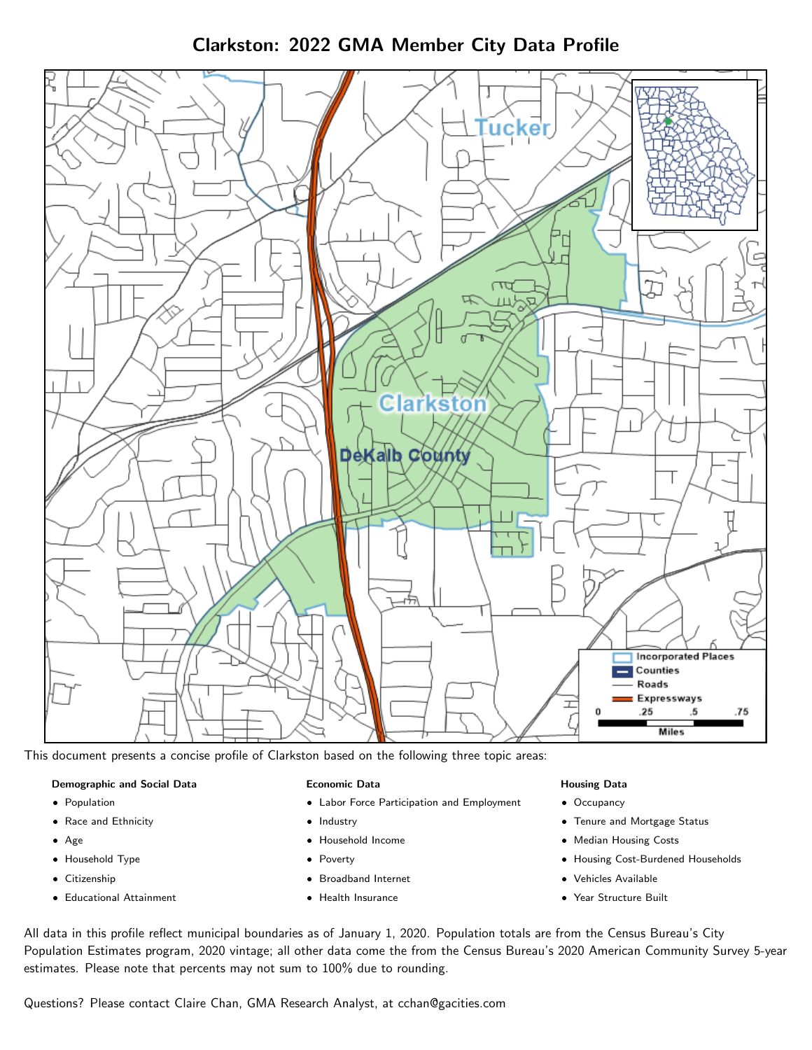# Clarkston: 2022 GMA Member City Data Profile



This document presents a concise profile of Clarkston based on the following three topic areas:

#### Demographic and Social Data

- **•** Population
- Race and Ethnicity
- Age
- Household Type
- **Citizenship**
- Educational Attainment

#### Economic Data

- Labor Force Participation and Employment
- Industry
- Household Income
- Poverty
- Broadband Internet
- Health Insurance

#### Housing Data

- Occupancy
- Tenure and Mortgage Status
- Median Housing Costs
- Housing Cost-Burdened Households
- Vehicles Available
- Year Structure Built

All data in this profile reflect municipal boundaries as of January 1, 2020. Population totals are from the Census Bureau's City Population Estimates program, 2020 vintage; all other data come the from the Census Bureau's 2020 American Community Survey 5-year estimates. Please note that percents may not sum to 100% due to rounding.

Questions? Please contact Claire Chan, GMA Research Analyst, at [cchan@gacities.com.](mailto:cchan@gacities.com)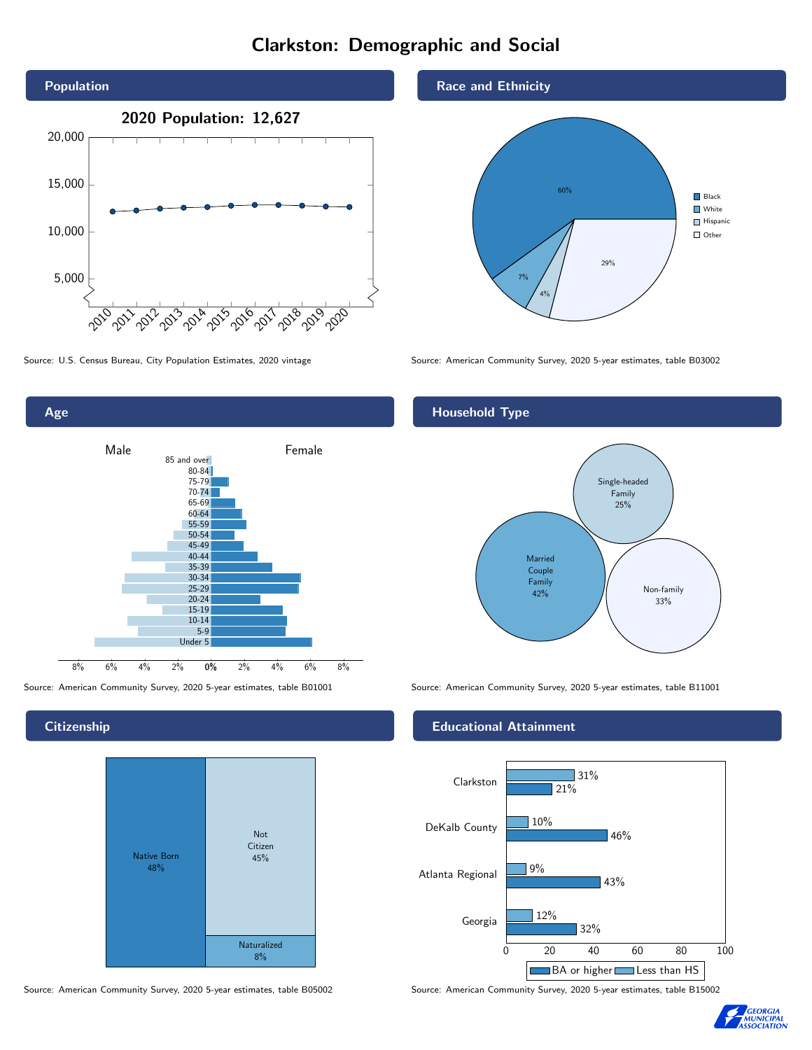# Clarkston: Demographic and Social





Age 0% 2% 4% 6% 8% Male **Female** 8% 6% 4% 2% 85 and over 80-84 75-79 70-74 65-69 60-64 55-59 50-54 45-49 40-44 35-39 30-34 25-29 20-24 15-19  $10-14$ 5-9 Under 5

**Citizenship** 



Source: American Community Survey, 2020 5-year estimates, table B05002 Source: American Community Survey, 2020 5-year estimates, table B15002



Source: U.S. Census Bureau, City Population Estimates, 2020 vintage Source: American Community Survey, 2020 5-year estimates, table B03002

## Household Type



Source: American Community Survey, 2020 5-year estimates, table B01001 Source: American Community Survey, 2020 5-year estimates, table B11001

### Educational Attainment



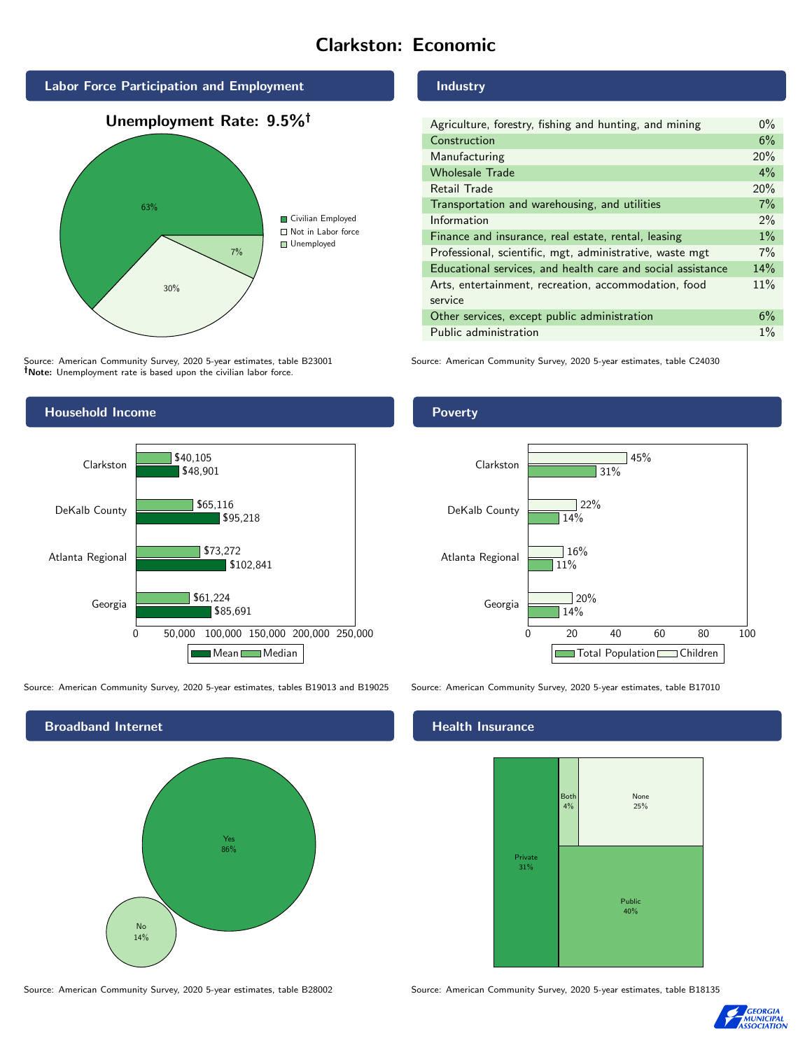# Clarkston: Economic





Source: American Community Survey, 2020 5-year estimates, table B23001 Note: Unemployment rate is based upon the civilian labor force.



Source: American Community Survey, 2020 5-year estimates, tables B19013 and B19025 Source: American Community Survey, 2020 5-year estimates, table B17010



Source: American Community Survey, 2020 5-year estimates, table B28002 Source: American Community Survey, 2020 5-year estimates, table B18135

#### Industry

| Agriculture, forestry, fishing and hunting, and mining      | $0\%$ |
|-------------------------------------------------------------|-------|
| Construction                                                | 6%    |
| Manufacturing                                               | 20%   |
| <b>Wholesale Trade</b>                                      | $4\%$ |
| Retail Trade                                                | 20%   |
| Transportation and warehousing, and utilities               | 7%    |
| Information                                                 | 2%    |
| Finance and insurance, real estate, rental, leasing         | $1\%$ |
| Professional, scientific, mgt, administrative, waste mgt    | $7\%$ |
| Educational services, and health care and social assistance | 14%   |
| Arts, entertainment, recreation, accommodation, food        | 11%   |
| service                                                     |       |
| Other services, except public administration                | 6%    |
| Public administration                                       | $1\%$ |

Source: American Community Survey, 2020 5-year estimates, table C24030

### Poverty



## **Health Insurance**